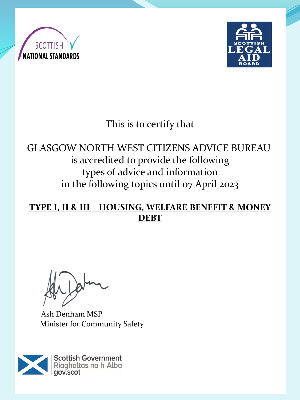



# This is to certify that

## GLASGOW NORTH WEST CITIZENS ADVICE BUREAU is accredited to provide the following types of advice and information in the following topics until 07 April 2023

#### **TYPE I, II & III – HOUSING, WELFARE BENEFIT & MONEY DEBT**

Ash Denham MSP Minister for Community Safety

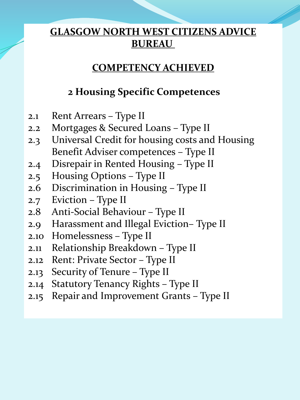#### **COMPETENCY ACHIEVED**

#### **2 Housing Specific Competences**

- 2.1 Rent Arrears Type II
- 2.2 Mortgages & Secured Loans Type II
- 2.3 Universal Credit for housing costs and Housing Benefit Adviser competences – Type II
- 2.4 Disrepair in Rented Housing Type II
- 2.5 Housing Options Type II
- 2.6 Discrimination in Housing Type II
- 2.7 Eviction Type II
- 2.8 Anti-Social Behaviour Type II
- 2.9 Harassment and Illegal Eviction– Type II
- 2.10 Homelessness Type II
- 2.11 Relationship Breakdown Type II
- 2.12 Rent: Private Sector Type II
- 2.13 Security of Tenure Type II
- 2.14 Statutory Tenancy Rights Type II
- 2.15 Repair and Improvement Grants Type II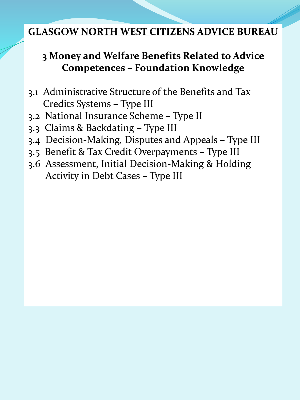## **3 Money and Welfare Benefits Related to Advice Competences – Foundation Knowledge**

- 3.1 Administrative Structure of the Benefits and Tax Credits Systems – Type III
- 3.2 National Insurance Scheme Type II
- 3.3 Claims & Backdating Type III
- 3.4 Decision-Making, Disputes and Appeals Type III
- 3.5 Benefit & Tax Credit Overpayments Type III
- 3.6 Assessment, Initial Decision-Making & Holding Activity in Debt Cases – Type III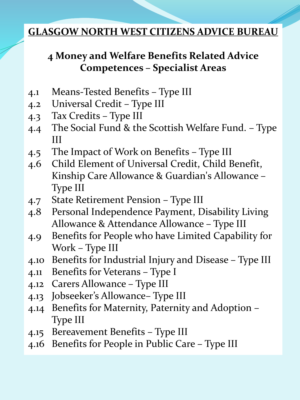## **4 Money and Welfare Benefits Related Advice Competences – Specialist Areas**

- 4.1 Means-Tested Benefits Type III
- 4.2 Universal Credit Type III
- 4.3 Tax Credits Type III
- 4.4 The Social Fund & the Scottish Welfare Fund. Type III
- 4.5 The Impact of Work on Benefits Type III
- 4.6 Child Element of Universal Credit, Child Benefit, Kinship Care Allowance & Guardian's Allowance – Type III
- 4.7 State Retirement Pension Type III
- 4.8 Personal Independence Payment, Disability Living Allowance & Attendance Allowance – Type III
- 4.9 Benefits for People who have Limited Capability for Work – Type III
- 4.10 Benefits for Industrial Injury and Disease Type III
- 4.11 Benefits for Veterans Type I
- 4.12 Carers Allowance Type III
- 4.13 Jobseeker's Allowance– Type III
- 4.14 Benefits for Maternity, Paternity and Adoption Type III
- 4.15 Bereavement Benefits Type III
- 4.16 Benefits for People in Public Care Type III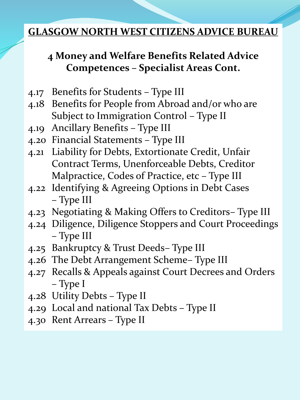## **4 Money and Welfare Benefits Related Advice Competences – Specialist Areas Cont.**

- 4.17 Benefits for Students Type III
- 4.18 Benefits for People from Abroad and/or who are Subject to Immigration Control – Type II
- 4.19 Ancillary Benefits Type III
- 4.20 Financial Statements Type III
- 4.21 Liability for Debts, Extortionate Credit, Unfair Contract Terms, Unenforceable Debts, Creditor Malpractice, Codes of Practice, etc – Type III
- 4.22 Identifying & Agreeing Options in Debt Cases – Type III
- 4.23 Negotiating & Making Offers to Creditors– Type III
- 4.24 Diligence, Diligence Stoppers and Court Proceedings – Type III
- 4.25 Bankruptcy & Trust Deeds– Type III
- 4.26 The Debt Arrangement Scheme– Type III
- 4.27 Recalls & Appeals against Court Decrees and Orders – Type I
- 4.28 Utility Debts Type II
- 4.29 Local and national Tax Debts Type II
- 4.30 Rent Arrears Type II